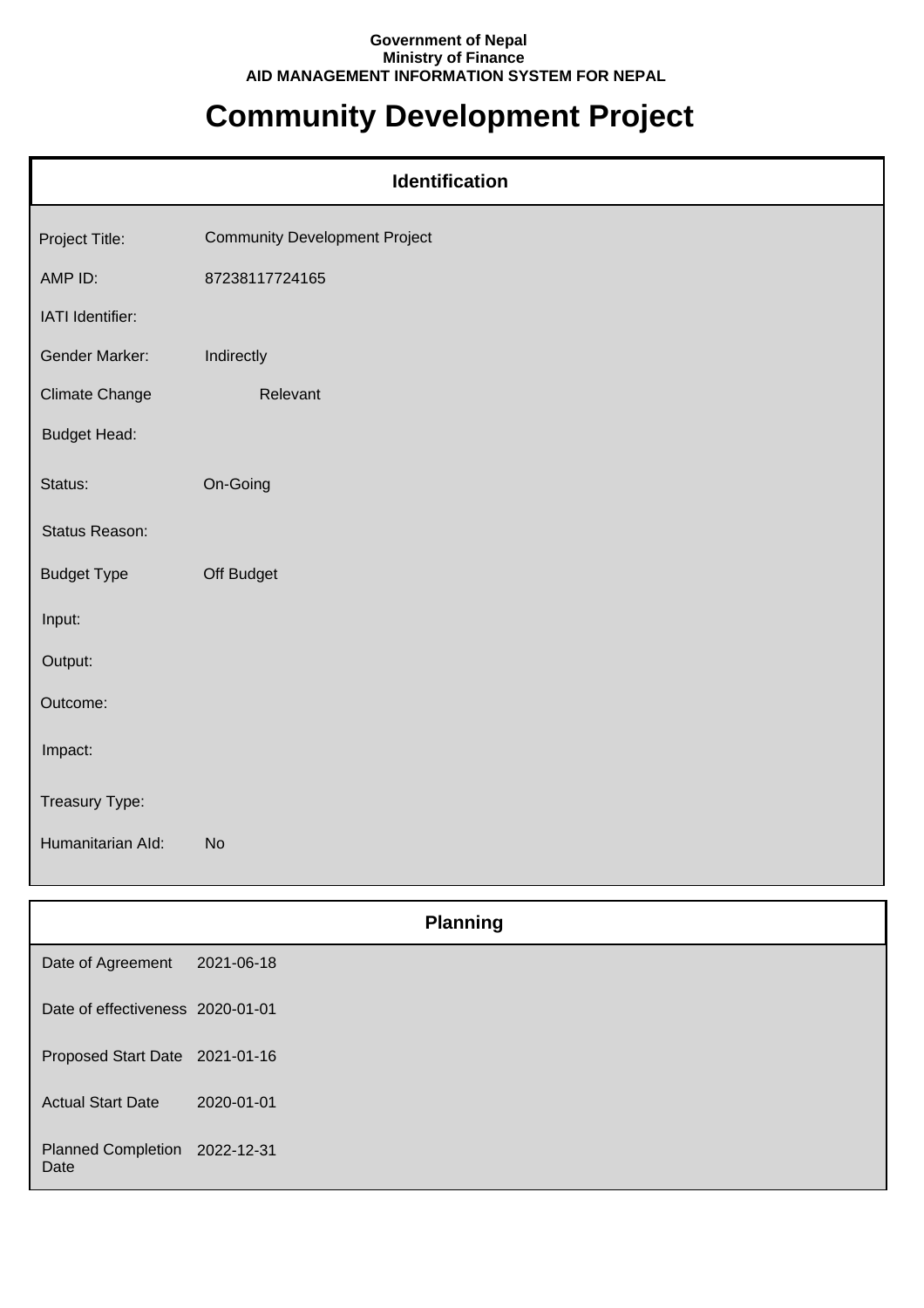## **Government of Nepal Ministry of Finance AID MANAGEMENT INFORMATION SYSTEM FOR NEPAL**

## **Community Development Project**

| Identification        |                                      |  |
|-----------------------|--------------------------------------|--|
| Project Title:        | <b>Community Development Project</b> |  |
| AMP ID:               | 87238117724165                       |  |
| IATI Identifier:      |                                      |  |
| Gender Marker:        | Indirectly                           |  |
| <b>Climate Change</b> | Relevant                             |  |
| <b>Budget Head:</b>   |                                      |  |
| Status:               | On-Going                             |  |
| Status Reason:        |                                      |  |
| <b>Budget Type</b>    | Off Budget                           |  |
| Input:                |                                      |  |
| Output:               |                                      |  |
| Outcome:              |                                      |  |
| Impact:               |                                      |  |
| Treasury Type:        |                                      |  |
| Humanitarian Ald:     | <b>No</b>                            |  |

|                                       |            | <b>Planning</b> |
|---------------------------------------|------------|-----------------|
| Date of Agreement                     | 2021-06-18 |                 |
| Date of effectiveness 2020-01-01      |            |                 |
| Proposed Start Date 2021-01-16        |            |                 |
| <b>Actual Start Date</b>              | 2020-01-01 |                 |
| Planned Completion 2022-12-31<br>Date |            |                 |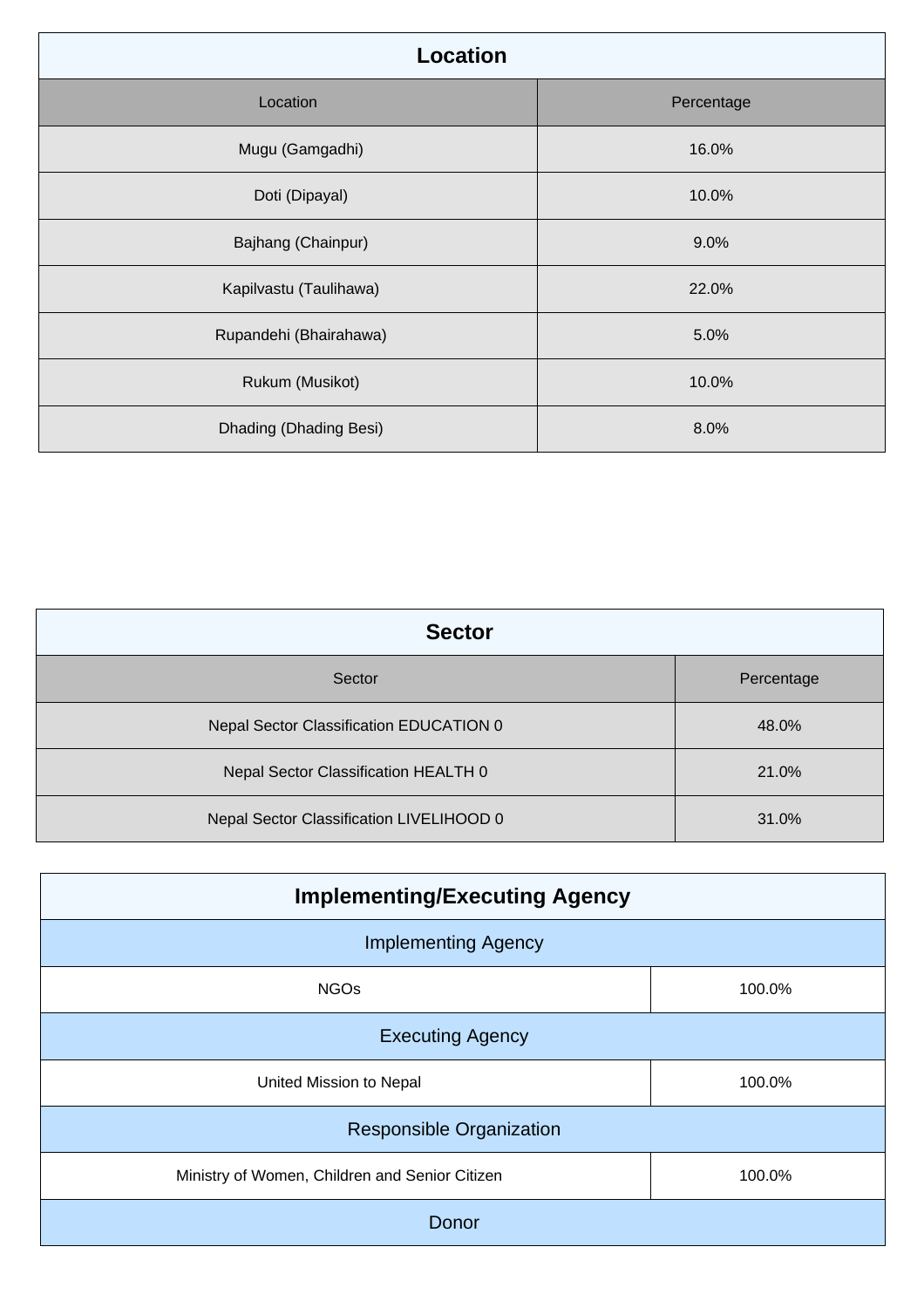| Location               |            |  |
|------------------------|------------|--|
| Location               | Percentage |  |
| Mugu (Gamgadhi)        | 16.0%      |  |
| Doti (Dipayal)         | 10.0%      |  |
| Bajhang (Chainpur)     | 9.0%       |  |
| Kapilvastu (Taulihawa) | 22.0%      |  |
| Rupandehi (Bhairahawa) | 5.0%       |  |
| Rukum (Musikot)        | 10.0%      |  |
| Dhading (Dhading Besi) | 8.0%       |  |

| <b>Sector</b>                            |            |  |
|------------------------------------------|------------|--|
| Sector                                   | Percentage |  |
| Nepal Sector Classification EDUCATION 0  | 48.0%      |  |
| Nepal Sector Classification HEALTH 0     | 21.0%      |  |
| Nepal Sector Classification LIVELIHOOD 0 | 31.0%      |  |

| <b>Implementing/Executing Agency</b>           |        |  |
|------------------------------------------------|--------|--|
| <b>Implementing Agency</b>                     |        |  |
| <b>NGOs</b>                                    | 100.0% |  |
| <b>Executing Agency</b>                        |        |  |
| United Mission to Nepal                        | 100.0% |  |
| <b>Responsible Organization</b>                |        |  |
| Ministry of Women, Children and Senior Citizen | 100.0% |  |
| Donor                                          |        |  |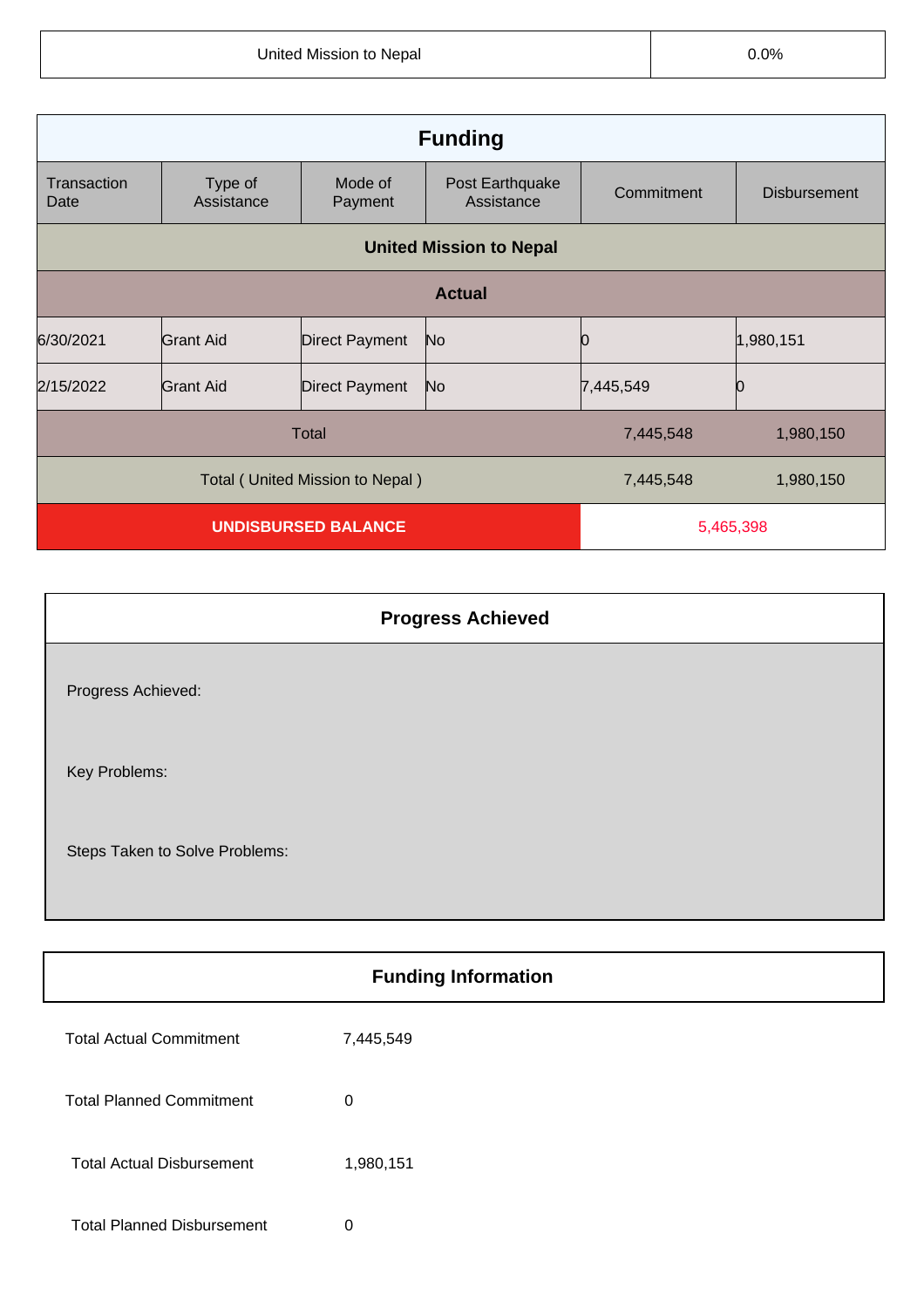| <b>Funding</b>                  |                       |                       |                               |            |                     |
|---------------------------------|-----------------------|-----------------------|-------------------------------|------------|---------------------|
| Transaction<br>Date             | Type of<br>Assistance | Mode of<br>Payment    | Post Earthquake<br>Assistance | Commitment | <b>Disbursement</b> |
| <b>United Mission to Nepal</b>  |                       |                       |                               |            |                     |
| <b>Actual</b>                   |                       |                       |                               |            |                     |
| 6/30/2021                       | <b>Grant Aid</b>      | <b>Direct Payment</b> | N <sub>o</sub>                |            | 1,980,151           |
| 2/15/2022                       | <b>Grant Aid</b>      | <b>Direct Payment</b> | N <sub>o</sub>                | 7,445,549  | Ю                   |
| Total                           |                       |                       | 7,445,548                     | 1,980,150  |                     |
| Total (United Mission to Nepal) |                       |                       | 7,445,548                     | 1,980,150  |                     |
| <b>UNDISBURSED BALANCE</b>      |                       | 5,465,398             |                               |            |                     |

| <b>Progress Achieved</b>       |  |
|--------------------------------|--|
| Progress Achieved:             |  |
| Key Problems:                  |  |
| Steps Taken to Solve Problems: |  |

| <b>Funding Information</b>        |           |  |
|-----------------------------------|-----------|--|
| <b>Total Actual Commitment</b>    | 7,445,549 |  |
| <b>Total Planned Commitment</b>   | 0         |  |
| <b>Total Actual Disbursement</b>  | 1,980,151 |  |
| <b>Total Planned Disbursement</b> | 0         |  |